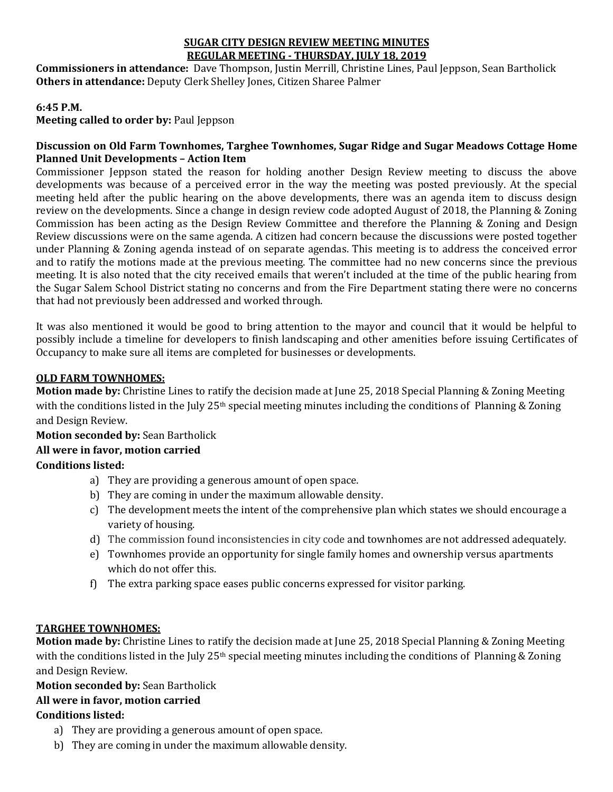#### **SUGAR CITY DESIGN REVIEW MEETING MINUTES REGULAR MEETING - THURSDAY, JULY 18, 2019**

**Commissioners in attendance:** Dave Thompson, Justin Merrill, Christine Lines, Paul Jeppson, Sean Bartholick **Others in attendance:** Deputy Clerk Shelley Jones, Citizen Sharee Palmer

#### **6:45 P.M.**

**Meeting called to order by:** Paul Jeppson

#### **Discussion on Old Farm Townhomes, Targhee Townhomes, Sugar Ridge and Sugar Meadows Cottage Home Planned Unit Developments – Action Item**

Commissioner Jeppson stated the reason for holding another Design Review meeting to discuss the above developments was because of a perceived error in the way the meeting was posted previously. At the special meeting held after the public hearing on the above developments, there was an agenda item to discuss design review on the developments. Since a change in design review code adopted August of 2018, the Planning & Zoning Commission has been acting as the Design Review Committee and therefore the Planning & Zoning and Design Review discussions were on the same agenda. A citizen had concern because the discussions were posted together under Planning & Zoning agenda instead of on separate agendas. This meeting is to address the conceived error and to ratify the motions made at the previous meeting. The committee had no new concerns since the previous meeting. It is also noted that the city received emails that weren't included at the time of the public hearing from the Sugar Salem School District stating no concerns and from the Fire Department stating there were no concerns that had not previously been addressed and worked through.

It was also mentioned it would be good to bring attention to the mayor and council that it would be helpful to possibly include a timeline for developers to finish landscaping and other amenities before issuing Certificates of Occupancy to make sure all items are completed for businesses or developments.

#### **OLD FARM TOWNHOMES:**

**Motion made by:** Christine Lines to ratify the decision made at June 25, 2018 Special Planning & Zoning Meeting with the conditions listed in the July 25<sup>th</sup> special meeting minutes including the conditions of Planning & Zoning and Design Review.

#### **Motion seconded by:** Sean Bartholick **All were in favor, motion carried**

# **Conditions listed:**

- a) They are providing a generous amount of open space.
- b) They are coming in under the maximum allowable density.
- c) The development meets the intent of the comprehensive plan which states we should encourage a variety of housing.
- d) The commission found inconsistencies in city code and townhomes are not addressed adequately.
- e) Townhomes provide an opportunity for single family homes and ownership versus apartments which do not offer this.
- f) The extra parking space eases public concerns expressed for visitor parking.

# **TARGHEE TOWNHOMES:**

**Motion made by:** Christine Lines to ratify the decision made at June 25, 2018 Special Planning & Zoning Meeting with the conditions listed in the July 25<sup>th</sup> special meeting minutes including the conditions of Planning & Zoning and Design Review.

# **Motion seconded by:** Sean Bartholick

# **All were in favor, motion carried**

# **Conditions listed:**

- a) They are providing a generous amount of open space.
- b) They are coming in under the maximum allowable density.